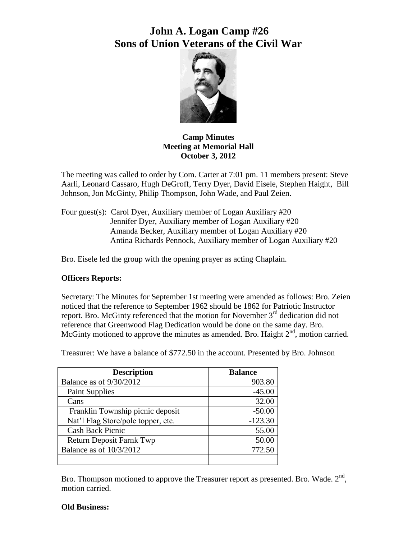

**Camp Minutes Meeting at Memorial Hall October 3, 2012**

The meeting was called to order by Com. Carter at 7:01 pm. 11 members present: Steve Aarli, Leonard Cassaro, Hugh DeGroff, Terry Dyer, David Eisele, Stephen Haight, Bill Johnson, Jon McGinty, Philip Thompson, John Wade, and Paul Zeien.

Four guest(s): Carol Dyer, Auxiliary member of Logan Auxiliary #20 Jennifer Dyer, Auxiliary member of Logan Auxiliary #20 Amanda Becker, Auxiliary member of Logan Auxiliary #20 Antina Richards Pennock, Auxiliary member of Logan Auxiliary #20

Bro. Eisele led the group with the opening prayer as acting Chaplain.

### **Officers Reports:**

Secretary: The Minutes for September 1st meeting were amended as follows: Bro. Zeien noticed that the reference to September 1962 should be 1862 for Patriotic Instructor report. Bro. McGinty referenced that the motion for November  $3<sup>rd</sup>$  dedication did not reference that Greenwood Flag Dedication would be done on the same day. Bro. McGinty motioned to approve the minutes as amended. Bro. Haight  $2<sup>nd</sup>$ , motion carried.

| <b>Description</b>                 | <b>Balance</b> |
|------------------------------------|----------------|
| Balance as of 9/30/2012            | 903.80         |
| <b>Paint Supplies</b>              | $-45.00$       |
| Cans                               | 32.00          |
| Franklin Township picnic deposit   | $-50.00$       |
| Nat'l Flag Store/pole topper, etc. | $-123.30$      |
| <b>Cash Back Picnic</b>            | 55.00          |
| <b>Return Deposit Farnk Twp</b>    | 50.00          |
| Balance as of 10/3/2012            | 772.50         |
|                                    |                |

Treasurer: We have a balance of \$772.50 in the account. Presented by Bro. Johnson

Bro. Thompson motioned to approve the Treasurer report as presented. Bro. Wade.  $2<sup>nd</sup>$ , motion carried.

### **Old Business:**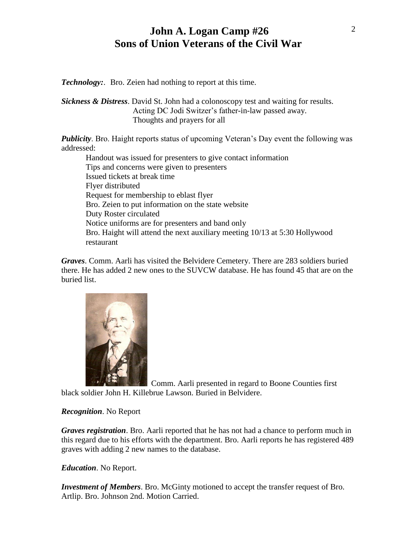*Technology:*. Bro. Zeien had nothing to report at this time.

*Sickness & Distress*. David St. John had a colonoscopy test and waiting for results. Acting DC Jodi Switzer's father-in-law passed away. Thoughts and prayers for all

*Publicity*. Bro. Haight reports status of upcoming Veteran's Day event the following was addressed:

Handout was issued for presenters to give contact information Tips and concerns were given to presenters Issued tickets at break time Flyer distributed Request for membership to eblast flyer Bro. Zeien to put information on the state website Duty Roster circulated Notice uniforms are for presenters and band only Bro. Haight will attend the next auxiliary meeting 10/13 at 5:30 Hollywood restaurant

*Graves*. Comm. Aarli has visited the Belvidere Cemetery. There are 283 soldiers buried there. He has added 2 new ones to the SUVCW database. He has found 45 that are on the buried list.



 Comm. Aarli presented in regard to Boone Counties first black soldier John H. Killebrue Lawson. Buried in Belvidere.

### *Recognition*. No Report

*Graves registration*. Bro. Aarli reported that he has not had a chance to perform much in this regard due to his efforts with the department. Bro. Aarli reports he has registered 489 graves with adding 2 new names to the database.

### *Education*. No Report.

*Investment of Members*. Bro. McGinty motioned to accept the transfer request of Bro. Artlip. Bro. Johnson 2nd. Motion Carried.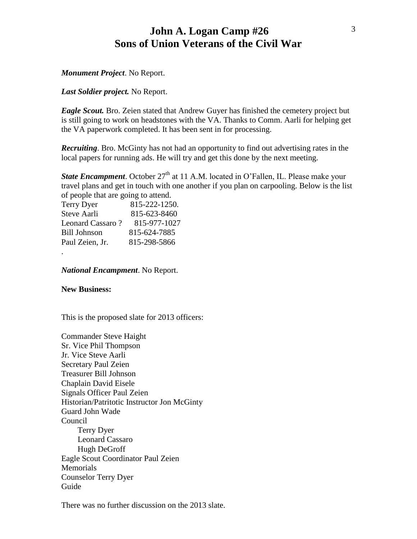### *Monument Project*. No Report.

### *Last Soldier project.* No Report.

*Eagle Scout.* Bro. Zeien stated that Andrew Guyer has finished the cemetery project but is still going to work on headstones with the VA. Thanks to Comm. Aarli for helping get the VA paperwork completed. It has been sent in for processing.

*Recruiting*. Bro. McGinty has not had an opportunity to find out advertising rates in the local papers for running ads. He will try and get this done by the next meeting.

**State Encampment**. October 27<sup>th</sup> at 11 A.M. located in O'Fallen, IL. Please make your travel plans and get in touch with one another if you plan on carpooling. Below is the list of people that are going to attend.

| Terry Dyer         | 815-222-1250. |
|--------------------|---------------|
| <b>Steve Aarli</b> | 815-623-8460  |
| Leonard Cassaro?   | 815-977-1027  |
| Bill Johnson       | 815-624-7885  |
| Paul Zeien, Jr.    | 815-298-5866  |
|                    |               |

*National Encampment*. No Report.

### **New Business:**

.

This is the proposed slate for 2013 officers:

Commander Steve Haight Sr. Vice Phil Thompson Jr. Vice Steve Aarli Secretary Paul Zeien Treasurer Bill Johnson Chaplain David Eisele Signals Officer Paul Zeien Historian/Patritotic Instructor Jon McGinty Guard John Wade Council Terry Dyer Leonard Cassaro Hugh DeGroff Eagle Scout Coordinator Paul Zeien Memorials Counselor Terry Dyer Guide

There was no further discussion on the 2013 slate.